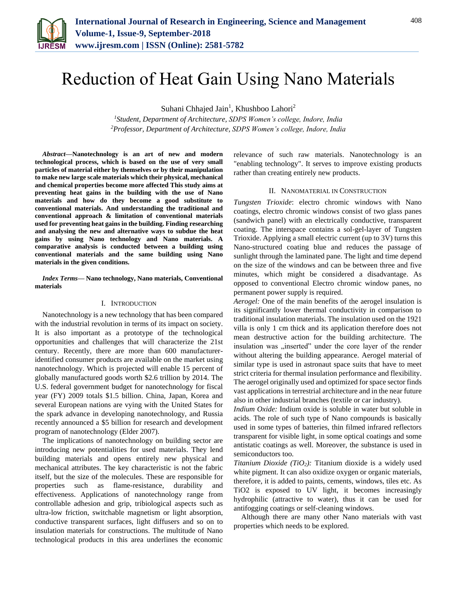

# Reduction of Heat Gain Using Nano Materials

Suhani Chhajed Jain<sup>1</sup>, Khushboo Lahori<sup>2</sup>

*<sup>1</sup>Student, Department of Architecture, SDPS Women's college, Indore, India <sup>2</sup>Professor, Department of Architecture, SDPS Women's college, Indore, India*

*Abstract***—Nanotechnology is an art of new and modern technological process, which is based on the use of very small particles of material either by themselves or by their manipulation to make new large scale materials which their physical, mechanical and chemical properties become more affected This study aims at preventing heat gains in the building with the use of Nano materials and how do they become a good substitute to conventional materials. And understanding the traditional and conventional approach & limitation of conventional materials used for preventing heat gains in the building. Finding researching and analysing the new and alternative ways to subdue the heat gains by using Nano technology and Nano materials. A comparative analysis is conducted between a building using conventional materials and the same building using Nano materials in the given conditions.**

#### *Index Terms***— Nano technology, Nano materials, Conventional materials**

### I. INTRODUCTION

Nanotechnology is a new technology that has been compared with the industrial revolution in terms of its impact on society. It is also important as a prototype of the technological opportunities and challenges that will characterize the 21st century. Recently, there are more than 600 manufactureridentified consumer products are available on the market using nanotechnology. Which is projected will enable 15 percent of globally manufactured goods worth \$2.6 trillion by 2014. The U.S. federal government budget for nanotechnology for fiscal year (FY) 2009 totals \$1.5 billion. China, Japan, Korea and several European nations are vying with the United States for the spark advance in developing nanotechnology, and Russia recently announced a \$5 billion for research and development program of nanotechnology (Elder 2007).

The implications of nanotechnology on building sector are introducing new potentialities for used materials. They lend building materials and opens entirely new physical and mechanical attributes. The key characteristic is not the fabric itself, but the size of the molecules. These are responsible for properties such as flame-resistance, durability and effectiveness. Applications of nanotechnology range from controllable adhesion and grip, tribiological aspects such as ultra-low friction, switchable magnetism or light absorption, conductive transparent surfaces, light diffusers and so on to insulation materials for constructions. The multitude of Nano technological products in this area underlines the economic

relevance of such raw materials. Nanotechnology is an "enabling technology". It serves to improve existing products rather than creating entirely new products.

#### II. NANOMATERIAL IN CONSTRUCTION

*Tungsten Trioxide*: electro chromic windows with Nano coatings, electro chromic windows consist of two glass panes (sandwich panel) with an electrically conductive, transparent coating. The interspace contains a sol-gel-layer of Tungsten Trioxide. Applying a small electric current (up to 3V) turns this Nano-structured coating blue and reduces the passage of sunlight through the laminated pane. The light and time depend on the size of the windows and can be between three and five minutes, which might be considered a disadvantage. As opposed to conventional Electro chromic window panes, no permanent power supply is required.

*Aerogel:* One of the main benefits of the aerogel insulation is its significantly lower thermal conductivity in comparison to traditional insulation materials. The insulation used on the 1921 villa is only 1 cm thick and its application therefore does not mean destructive action for the building architecture. The insulation was "inserted" under the core layer of the render without altering the building appearance. Aerogel material of similar type is used in astronaut space suits that have to meet strict criteria for thermal insulation performance and flexibility. The aerogel originally used and optimized for space sector finds vast applications in terrestrial architecture and in the near future also in other industrial branches (textile or car industry).

*Indium Oxide:* Indium oxide is soluble in water but soluble in acids. The role of such type of Nano compounds is basically used in some types of batteries, thin filmed infrared reflectors transparent for visible light, in some optical coatings and some antistatic coatings as well. Moreover, the substance is used in semiconductors too.

*Titanium Dioxide (TiO2):* Titanium dioxide is a widely used white pigment. It can also oxidize oxygen or organic materials, therefore, it is added to paints, cements, windows, tiles etc. As TiO2 is exposed to UV light, it becomes increasingly hydrophilic (attractive to water), thus it can be used for antifogging coatings or self-cleaning windows.

Although there are many other Nano materials with vast properties which needs to be explored.